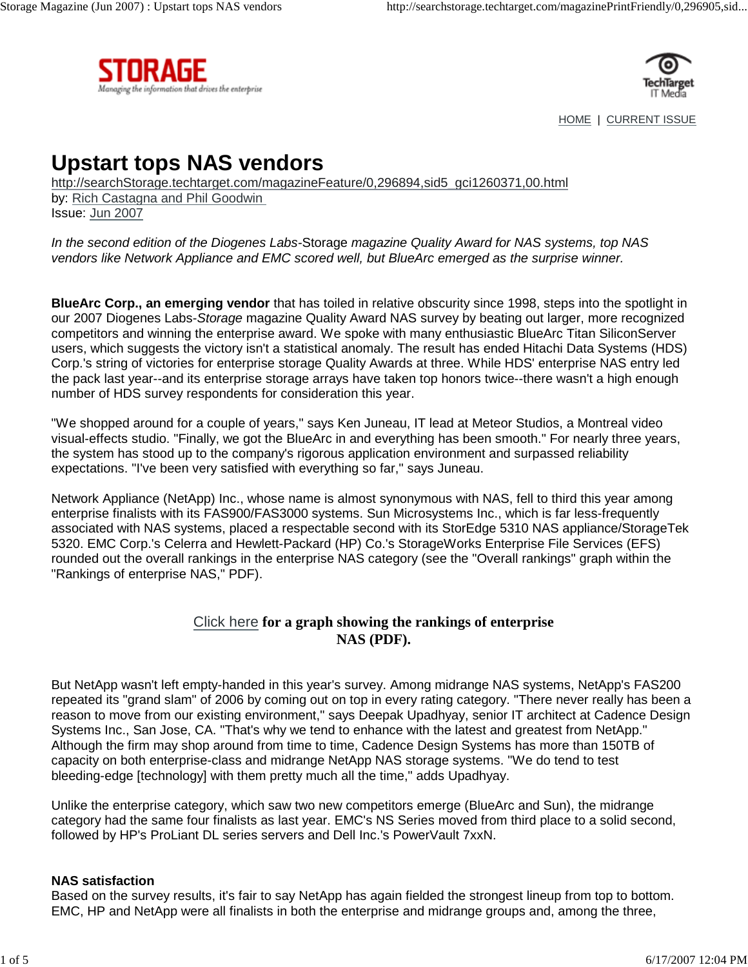



HOME | CURRENT ISSUE

# **Upstart tops NAS vendors**

http://searchStorage.techtarget.com/magazineFeature/0,296894,sid5\_gci1260371,00.html by: Rich Castagna and Phil Goodwin Issue: Jun 2007

In the second edition of the Diogenes Labs-Storage magazine Quality Award for NAS systems, top NAS vendors like Network Appliance and EMC scored well, but BlueArc emerged as the surprise winner.

**BlueArc Corp., an emerging vendor** that has toiled in relative obscurity since 1998, steps into the spotlight in our 2007 Diogenes Labs-Storage magazine Quality Award NAS survey by beating out larger, more recognized competitors and winning the enterprise award. We spoke with many enthusiastic BlueArc Titan SiliconServer users, which suggests the victory isn't a statistical anomaly. The result has ended Hitachi Data Systems (HDS) Corp.'s string of victories for enterprise storage Quality Awards at three. While HDS' enterprise NAS entry led the pack last year--and its enterprise storage arrays have taken top honors twice--there wasn't a high enough number of HDS survey respondents for consideration this year.

"We shopped around for a couple of years," says Ken Juneau, IT lead at Meteor Studios, a Montreal video visual-effects studio. "Finally, we got the BlueArc in and everything has been smooth." For nearly three years, the system has stood up to the company's rigorous application environment and surpassed reliability expectations. "I've been very satisfied with everything so far," says Juneau.

Network Appliance (NetApp) Inc., whose name is almost synonymous with NAS, fell to third this year among enterprise finalists with its FAS900/FAS3000 systems. Sun Microsystems Inc., which is far less-frequently associated with NAS systems, placed a respectable second with its StorEdge 5310 NAS appliance/StorageTek 5320. EMC Corp.'s Celerra and Hewlett-Packard (HP) Co.'s StorageWorks Enterprise File Services (EFS) rounded out the overall rankings in the enterprise NAS category (see the "Overall rankings" graph within the "Rankings of enterprise NAS," PDF).

## Click here **for a graph showing the rankings of enterprise NAS (PDF).**

But NetApp wasn't left empty-handed in this year's survey. Among midrange NAS systems, NetApp's FAS200 repeated its "grand slam" of 2006 by coming out on top in every rating category. "There never really has been a reason to move from our existing environment," says Deepak Upadhyay, senior IT architect at Cadence Design Systems Inc., San Jose, CA. "That's why we tend to enhance with the latest and greatest from NetApp." Although the firm may shop around from time to time, Cadence Design Systems has more than 150TB of capacity on both enterprise-class and midrange NetApp NAS storage systems. "We do tend to test bleeding-edge [technology] with them pretty much all the time," adds Upadhyay.

Unlike the enterprise category, which saw two new competitors emerge (BlueArc and Sun), the midrange category had the same four finalists as last year. EMC's NS Series moved from third place to a solid second, followed by HP's ProLiant DL series servers and Dell Inc.'s PowerVault 7xxN.

#### **NAS satisfaction**

Based on the survey results, it's fair to say NetApp has again fielded the strongest lineup from top to bottom. EMC, HP and NetApp were all finalists in both the enterprise and midrange groups and, among the three,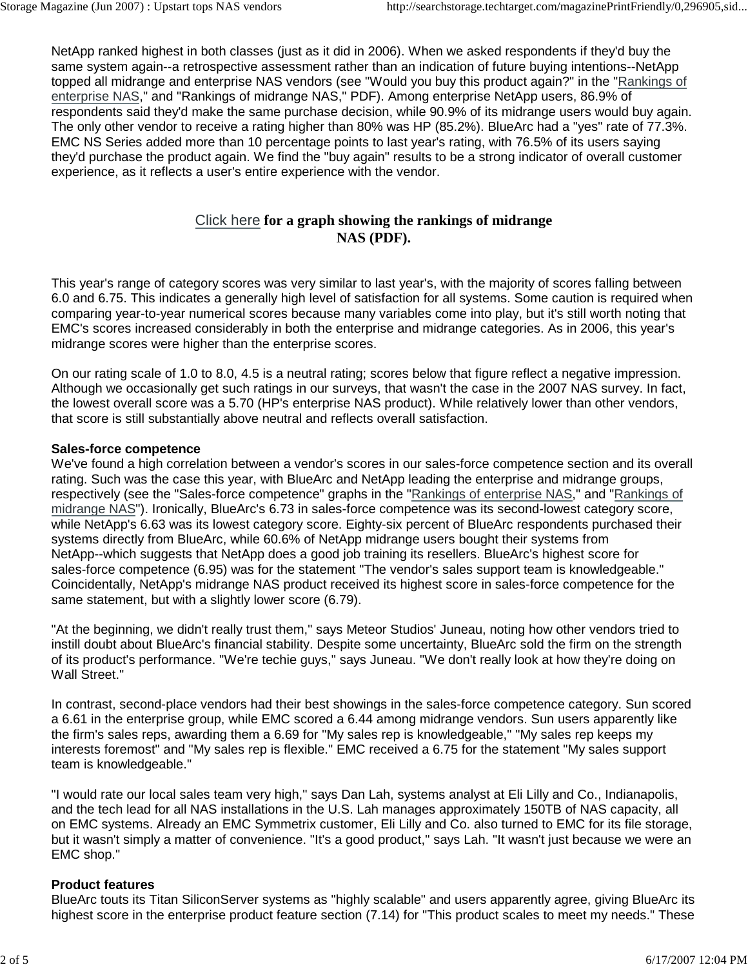NetApp ranked highest in both classes (just as it did in 2006). When we asked respondents if they'd buy the same system again--a retrospective assessment rather than an indication of future buying intentions--NetApp topped all midrange and enterprise NAS vendors (see "Would you buy this product again?" in the "Rankings of enterprise NAS," and "Rankings of midrange NAS," PDF). Among enterprise NetApp users, 86.9% of respondents said they'd make the same purchase decision, while 90.9% of its midrange users would buy again. The only other vendor to receive a rating higher than 80% was HP (85.2%). BlueArc had a "yes" rate of 77.3%. EMC NS Series added more than 10 percentage points to last year's rating, with 76.5% of its users saying they'd purchase the product again. We find the "buy again" results to be a strong indicator of overall customer experience, as it reflects a user's entire experience with the vendor.

# Click here **for a graph showing the rankings of midrange NAS (PDF).**

This year's range of category scores was very similar to last year's, with the majority of scores falling between 6.0 and 6.75. This indicates a generally high level of satisfaction for all systems. Some caution is required when comparing year-to-year numerical scores because many variables come into play, but it's still worth noting that EMC's scores increased considerably in both the enterprise and midrange categories. As in 2006, this year's midrange scores were higher than the enterprise scores.

On our rating scale of 1.0 to 8.0, 4.5 is a neutral rating; scores below that figure reflect a negative impression. Although we occasionally get such ratings in our surveys, that wasn't the case in the 2007 NAS survey. In fact, the lowest overall score was a 5.70 (HP's enterprise NAS product). While relatively lower than other vendors, that score is still substantially above neutral and reflects overall satisfaction.

### **Sales-force competence**

We've found a high correlation between a vendor's scores in our sales-force competence section and its overall rating. Such was the case this year, with BlueArc and NetApp leading the enterprise and midrange groups, respectively (see the "Sales-force competence" graphs in the "Rankings of enterprise NAS," and "Rankings of midrange NAS"). Ironically, BlueArc's 6.73 in sales-force competence was its second-lowest category score, while NetApp's 6.63 was its lowest category score. Eighty-six percent of BlueArc respondents purchased their systems directly from BlueArc, while 60.6% of NetApp midrange users bought their systems from NetApp--which suggests that NetApp does a good job training its resellers. BlueArc's highest score for sales-force competence (6.95) was for the statement "The vendor's sales support team is knowledgeable." Coincidentally, NetApp's midrange NAS product received its highest score in sales-force competence for the same statement, but with a slightly lower score (6.79).

"At the beginning, we didn't really trust them," says Meteor Studios' Juneau, noting how other vendors tried to instill doubt about BlueArc's financial stability. Despite some uncertainty, BlueArc sold the firm on the strength of its product's performance. "We're techie guys," says Juneau. "We don't really look at how they're doing on Wall Street."

In contrast, second-place vendors had their best showings in the sales-force competence category. Sun scored a 6.61 in the enterprise group, while EMC scored a 6.44 among midrange vendors. Sun users apparently like the firm's sales reps, awarding them a 6.69 for "My sales rep is knowledgeable," "My sales rep keeps my interests foremost" and "My sales rep is flexible." EMC received a 6.75 for the statement "My sales support team is knowledgeable."

"I would rate our local sales team very high," says Dan Lah, systems analyst at Eli Lilly and Co., Indianapolis, and the tech lead for all NAS installations in the U.S. Lah manages approximately 150TB of NAS capacity, all on EMC systems. Already an EMC Symmetrix customer, Eli Lilly and Co. also turned to EMC for its file storage, but it wasn't simply a matter of convenience. "It's a good product," says Lah. "It wasn't just because we were an EMC shop."

# **Product features**

BlueArc touts its Titan SiliconServer systems as "highly scalable" and users apparently agree, giving BlueArc its highest score in the enterprise product feature section (7.14) for "This product scales to meet my needs." These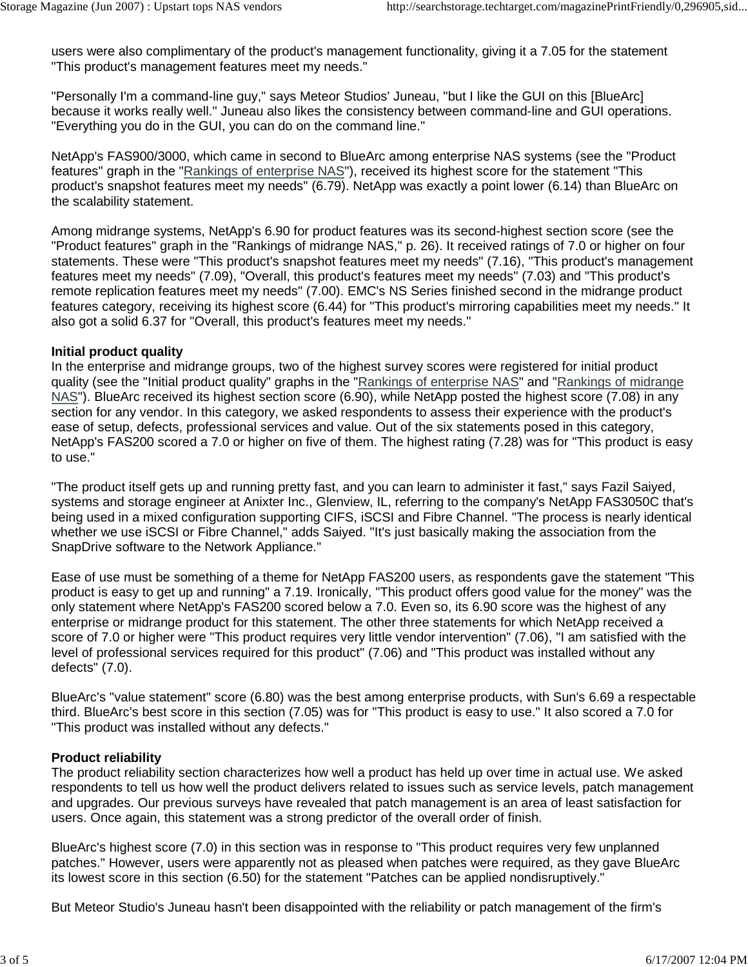users were also complimentary of the product's management functionality, giving it a 7.05 for the statement "This product's management features meet my needs."

"Personally I'm a command-line guy," says Meteor Studios' Juneau, "but I like the GUI on this [BlueArc] because it works really well." Juneau also likes the consistency between command-line and GUI operations. "Everything you do in the GUI, you can do on the command line."

NetApp's FAS900/3000, which came in second to BlueArc among enterprise NAS systems (see the "Product features" graph in the "Rankings of enterprise NAS"), received its highest score for the statement "This product's snapshot features meet my needs" (6.79). NetApp was exactly a point lower (6.14) than BlueArc on the scalability statement.

Among midrange systems, NetApp's 6.90 for product features was its second-highest section score (see the "Product features" graph in the "Rankings of midrange NAS," p. 26). It received ratings of 7.0 or higher on four statements. These were "This product's snapshot features meet my needs" (7.16), "This product's management features meet my needs" (7.09), "Overall, this product's features meet my needs" (7.03) and "This product's remote replication features meet my needs" (7.00). EMC's NS Series finished second in the midrange product features category, receiving its highest score (6.44) for "This product's mirroring capabilities meet my needs." It also got a solid 6.37 for "Overall, this product's features meet my needs."

#### **Initial product quality**

In the enterprise and midrange groups, two of the highest survey scores were registered for initial product quality (see the "Initial product quality" graphs in the "Rankings of enterprise NAS" and "Rankings of midrange NAS"). BlueArc received its highest section score (6.90), while NetApp posted the highest score (7.08) in any section for any vendor. In this category, we asked respondents to assess their experience with the product's ease of setup, defects, professional services and value. Out of the six statements posed in this category, NetApp's FAS200 scored a 7.0 or higher on five of them. The highest rating (7.28) was for "This product is easy to use."

"The product itself gets up and running pretty fast, and you can learn to administer it fast," says Fazil Saiyed, systems and storage engineer at Anixter Inc., Glenview, IL, referring to the company's NetApp FAS3050C that's being used in a mixed configuration supporting CIFS, iSCSI and Fibre Channel. "The process is nearly identical whether we use iSCSI or Fibre Channel," adds Saiyed. "It's just basically making the association from the SnapDrive software to the Network Appliance."

Ease of use must be something of a theme for NetApp FAS200 users, as respondents gave the statement "This product is easy to get up and running" a 7.19. Ironically, "This product offers good value for the money" was the only statement where NetApp's FAS200 scored below a 7.0. Even so, its 6.90 score was the highest of any enterprise or midrange product for this statement. The other three statements for which NetApp received a score of 7.0 or higher were "This product requires very little vendor intervention" (7.06), "I am satisfied with the level of professional services required for this product" (7.06) and "This product was installed without any defects" (7.0).

BlueArc's "value statement" score (6.80) was the best among enterprise products, with Sun's 6.69 a respectable third. BlueArc's best score in this section (7.05) was for "This product is easy to use." It also scored a 7.0 for "This product was installed without any defects."

#### **Product reliability**

The product reliability section characterizes how well a product has held up over time in actual use. We asked respondents to tell us how well the product delivers related to issues such as service levels, patch management and upgrades. Our previous surveys have revealed that patch management is an area of least satisfaction for users. Once again, this statement was a strong predictor of the overall order of finish.

BlueArc's highest score (7.0) in this section was in response to "This product requires very few unplanned patches." However, users were apparently not as pleased when patches were required, as they gave BlueArc its lowest score in this section (6.50) for the statement "Patches can be applied nondisruptively."

But Meteor Studio's Juneau hasn't been disappointed with the reliability or patch management of the firm's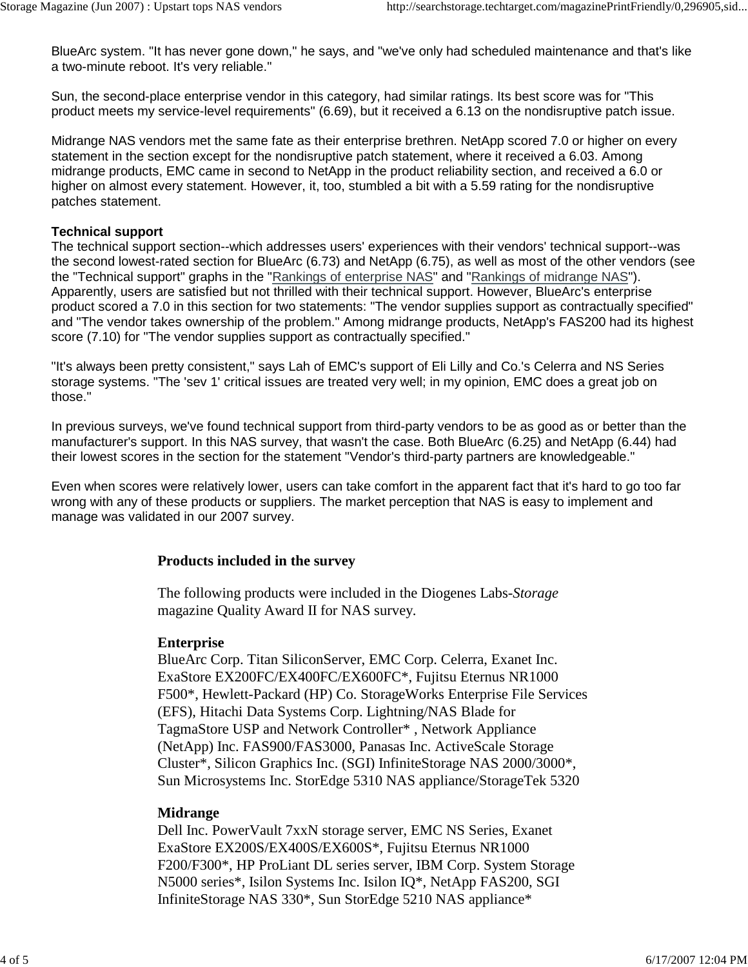BlueArc system. "It has never gone down," he says, and "we've only had scheduled maintenance and that's like a two-minute reboot. It's very reliable."

Sun, the second-place enterprise vendor in this category, had similar ratings. Its best score was for "This product meets my service-level requirements" (6.69), but it received a 6.13 on the nondisruptive patch issue.

Midrange NAS vendors met the same fate as their enterprise brethren. NetApp scored 7.0 or higher on every statement in the section except for the nondisruptive patch statement, where it received a 6.03. Among midrange products, EMC came in second to NetApp in the product reliability section, and received a 6.0 or higher on almost every statement. However, it, too, stumbled a bit with a 5.59 rating for the nondisruptive patches statement.

#### **Technical support**

The technical support section--which addresses users' experiences with their vendors' technical support--was the second lowest-rated section for BlueArc (6.73) and NetApp (6.75), as well as most of the other vendors (see the "Technical support" graphs in the "Rankings of enterprise NAS" and "Rankings of midrange NAS"). Apparently, users are satisfied but not thrilled with their technical support. However, BlueArc's enterprise product scored a 7.0 in this section for two statements: "The vendor supplies support as contractually specified" and "The vendor takes ownership of the problem." Among midrange products, NetApp's FAS200 had its highest score (7.10) for "The vendor supplies support as contractually specified."

"It's always been pretty consistent," says Lah of EMC's support of Eli Lilly and Co.'s Celerra and NS Series storage systems. "The 'sev 1' critical issues are treated very well; in my opinion, EMC does a great job on those."

In previous surveys, we've found technical support from third-party vendors to be as good as or better than the manufacturer's support. In this NAS survey, that wasn't the case. Both BlueArc (6.25) and NetApp (6.44) had their lowest scores in the section for the statement "Vendor's third-party partners are knowledgeable."

Even when scores were relatively lower, users can take comfort in the apparent fact that it's hard to go too far wrong with any of these products or suppliers. The market perception that NAS is easy to implement and manage was validated in our 2007 survey.

#### **Products included in the survey**

The following products were included in the Diogenes Labs-*Storage* magazine Quality Award II for NAS survey.

#### **Enterprise**

BlueArc Corp. Titan SiliconServer, EMC Corp. Celerra, Exanet Inc. ExaStore EX200FC/EX400FC/EX600FC\*, Fujitsu Eternus NR1000 F500\*, Hewlett-Packard (HP) Co. StorageWorks Enterprise File Services (EFS), Hitachi Data Systems Corp. Lightning/NAS Blade for TagmaStore USP and Network Controller\* , Network Appliance (NetApp) Inc. FAS900/FAS3000, Panasas Inc. ActiveScale Storage Cluster\*, Silicon Graphics Inc. (SGI) InfiniteStorage NAS 2000/3000\*, Sun Microsystems Inc. StorEdge 5310 NAS appliance/StorageTek 5320

#### **Midrange**

Dell Inc. PowerVault 7xxN storage server, EMC NS Series, Exanet ExaStore EX200S/EX400S/EX600S\*, Fujitsu Eternus NR1000 F200/F300\*, HP ProLiant DL series server, IBM Corp. System Storage N5000 series\*, Isilon Systems Inc. Isilon IQ\*, NetApp FAS200, SGI InfiniteStorage NAS 330\*, Sun StorEdge 5210 NAS appliance\*